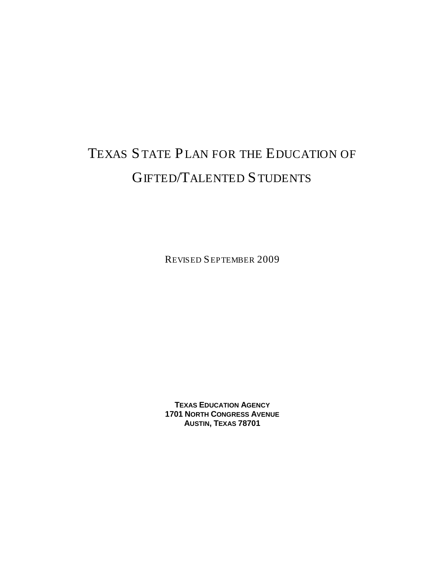# TEXAS STATE PLAN FOR THE EDUCATION OF GIFTED/TALENTED STUDENTS

REVISED SEPTEMBER 2009

**TEXAS EDUCATION AGENCY 1701 NORTH CONGRESS AVENUE AUSTIN, TEXAS 78701**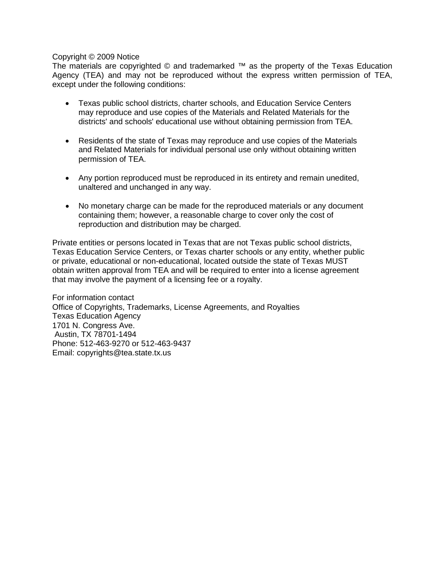#### Copyright © 2009 Notice

The materials are copyrighted © and trademarked ™ as the property of the Texas Education Agency (TEA) and may not be reproduced without the express written permission of TEA, except under the following conditions:

- Texas public school districts, charter schools, and Education Service Centers may reproduce and use copies of the Materials and Related Materials for the districts' and schools' educational use without obtaining permission from TEA.
- Residents of the state of Texas may reproduce and use copies of the Materials and Related Materials for individual personal use only without obtaining written permission of TEA.
- Any portion reproduced must be reproduced in its entirety and remain unedited, unaltered and unchanged in any way.
- No monetary charge can be made for the reproduced materials or any document containing them; however, a reasonable charge to cover only the cost of reproduction and distribution may be charged.

Private entities or persons located in Texas that are not Texas public school districts, Texas Education Service Centers, or Texas charter schools or any entity, whether public or private, educational or non-educational, located outside the state of Texas MUST obtain written approval from TEA and will be required to enter into a license agreement that may involve the payment of a licensing fee or a royalty.

For information contact Office of Copyrights, Trademarks, License Agreements, and Royalties Texas Education Agency 1701 N. Congress Ave. Austin, TX 78701-1494 Phone: 512-463-9270 or 512-463-9437 Email: copyrights@tea.state.tx.us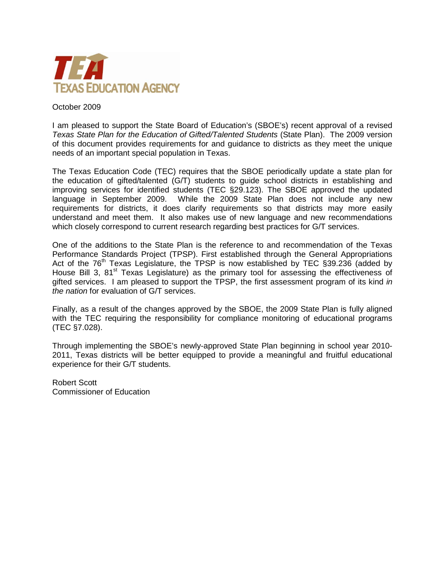

#### October 2009

I am pleased to support the State Board of Education's (SBOE's) recent approval of a revised *Texas State Plan for the Education of Gifted/Talented Students* (State Plan). The 2009 version of this document provides requirements for and guidance to districts as they meet the unique needs of an important special population in Texas.

The Texas Education Code (TEC) requires that the SBOE periodically update a state plan for the education of gifted/talented (G/T) students to guide school districts in establishing and improving services for identified students (TEC §29.123). The SBOE approved the updated language in September 2009. While the 2009 State Plan does not include any new requirements for districts, it does clarify requirements so that districts may more easily understand and meet them. It also makes use of new language and new recommendations which closely correspond to current research regarding best practices for G/T services.

One of the additions to the State Plan is the reference to and recommendation of the Texas Performance Standards Project (TPSP). First established through the General Appropriations Act of the  $76<sup>th</sup>$  Texas Legislature, the TPSP is now established by TEC  $\S 39.236$  (added by House Bill 3, 81<sup>st</sup> Texas Legislature) as the primary tool for assessing the effectiveness of gifted services. I am pleased to support the TPSP, the first assessment program of its kind *in the nation* for evaluation of G/T services.

Finally, as a result of the changes approved by the SBOE, the 2009 State Plan is fully aligned with the TEC requiring the responsibility for compliance monitoring of educational programs (TEC §7.028).

Through implementing the SBOE's newly-approved State Plan beginning in school year 2010- 2011, Texas districts will be better equipped to provide a meaningful and fruitful educational experience for their G/T students.

Robert Scott Commissioner of Education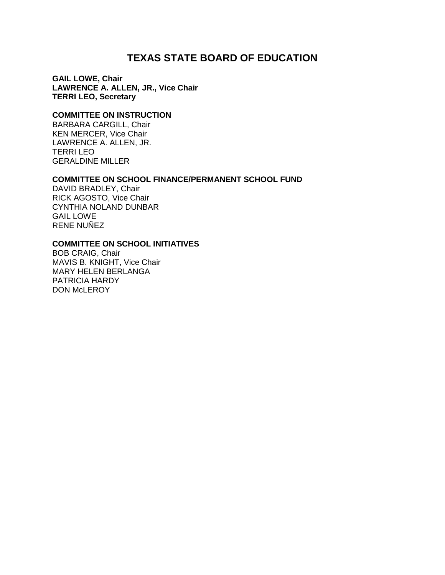## **TEXAS STATE BOARD OF EDUCATION**

**GAIL LOWE, Chair LAWRENCE A. ALLEN, JR., Vice Chair TERRI LEO, Secretary**

#### **COMMITTEE ON INSTRUCTION**

BARBARA CARGILL, Chair KEN MERCER, Vice Chair LAWRENCE A. ALLEN, JR. TERRI LEO GERALDINE MILLER

#### **COMMITTEE ON SCHOOL FINANCE/PERMANENT SCHOOL FUND**

DAVID BRADLEY, Chair RICK AGOSTO, Vice Chair CYNTHIA NOLAND DUNBAR GAIL LOWE RENE NUÑEZ

#### **COMMITTEE ON SCHOOL INITIATIVES**

BOB CRAIG, Chair MAVIS B. KNIGHT, Vice Chair MARY HELEN BERLANGA PATRICIA HARDY DON McLEROY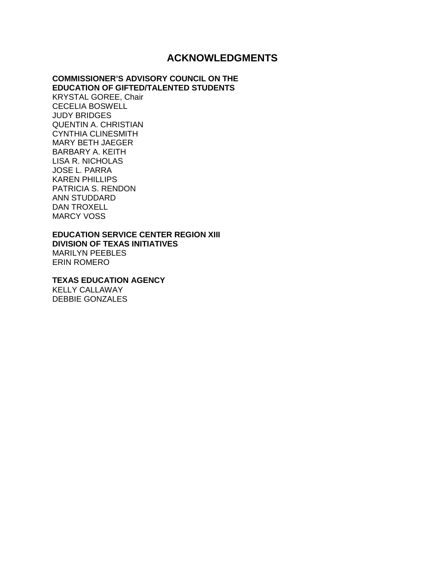## **ACKNOWLEDGMENTS**

#### **COMMISSIONER'S ADVISORY COUNCIL ON THE EDUCATION OF GIFTED/TALENTED STUDENTS**

KRYSTAL GOREE, Chair CECELIA BOSWELL JUDY BRIDGES QUENTIN A. CHRISTIAN CYNTHIA CLINESMITH MARY BETH JAEGER BARBARY A. KEITH LISA R. NICHOLAS JOSE L. PARRA KAREN PHILLIPS PATRICIA S. RENDON ANN STUDDARD DAN TROXELL MARCY VOSS

### **EDUCATION SERVICE CENTER REGION XIII**

**DIVISION OF TEXAS INITIATIVES** MARILYN PEEBLES ERIN ROMERO

**TEXAS EDUCATION AGENCY**

KELLY CALLAWAY DEBBIE GONZALES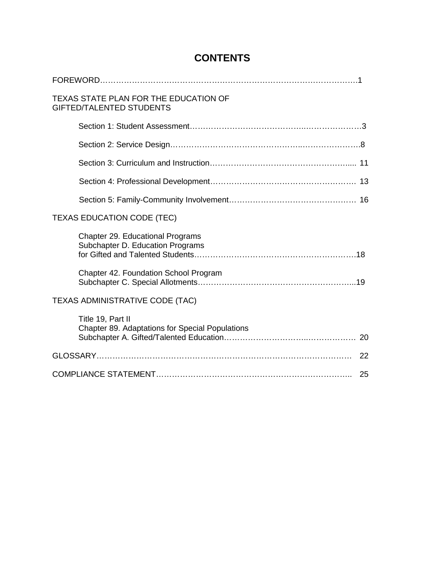| TEXAS STATE PLAN FOR THE EDUCATION OF<br><b>GIFTED/TALENTED STUDENTS</b>    |
|-----------------------------------------------------------------------------|
|                                                                             |
|                                                                             |
|                                                                             |
|                                                                             |
|                                                                             |
| <b>TEXAS EDUCATION CODE (TEC)</b>                                           |
| <b>Chapter 29. Educational Programs</b><br>Subchapter D. Education Programs |
| Chapter 42. Foundation School Program                                       |
| <b>TEXAS ADMINISTRATIVE CODE (TAC)</b>                                      |
| Title 19, Part II<br>Chapter 89. Adaptations for Special Populations        |
| 22                                                                          |
| 25                                                                          |

## **CONTENTS**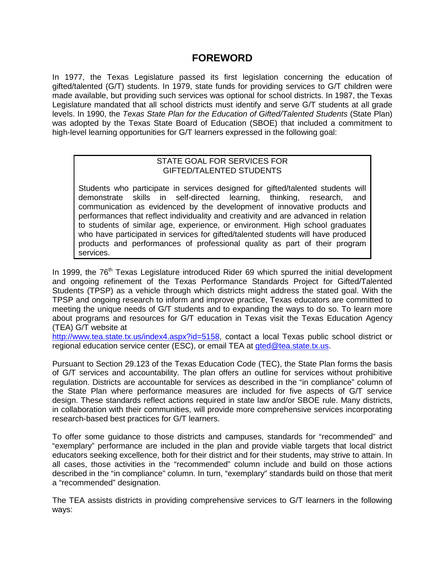## **FOREWORD**

In 1977, the Texas Legislature passed its first legislation concerning the education of gifted/talented (G/T) students. In 1979, state funds for providing services to G/T children were made available, but providing such services was optional for school districts. In 1987, the Texas Legislature mandated that all school districts must identify and serve G/T students at all grade levels. In 1990, the *Texas State Plan for the Education of Gifted/Talented Students* (State Plan) was adopted by the Texas State Board of Education (SBOE) that included a commitment to high-level learning opportunities for G/T learners expressed in the following goal:

#### STATE GOAL FOR SERVICES FOR GIFTED/TALENTED STUDENTS

Students who participate in services designed for gifted/talented students will demonstrate skills in self-directed learning, thinking, research, and communication as evidenced by the development of innovative products and performances that reflect individuality and creativity and are advanced in relation to students of similar age, experience, or environment. High school graduates who have participated in services for gifted/talented students will have produced products and performances of professional quality as part of their program services.

In 1999, the  $76<sup>th</sup>$  Texas Legislature introduced Rider 69 which spurred the initial development and ongoing refinement of the Texas Performance Standards Project for Gifted/Talented Students (TPSP) as a vehicle through which districts might address the stated goal. With the TPSP and ongoing research to inform and improve practice, Texas educators are committed to meeting the unique needs of G/T students and to expanding the ways to do so. To learn more about programs and resources for G/T education in Texas visit the Texas Education Agency (TEA) G/T website at

[http://www.tea.state.tx.us/index4.aspx?id=5158,](http://www.tea.state.tx.us/index4.aspx?id=5158) contact a local Texas public school district or regional education service center (ESC), or email TEA at [gted@tea.state.tx.us.](mailto:gted@tea.state.tx.us)

Pursuant to Section 29.123 of the Texas Education Code (TEC), the State Plan forms the basis of G/T services and accountability. The plan offers an outline for services without prohibitive regulation. Districts are accountable for services as described in the "in compliance" column of the State Plan where performance measures are included for five aspects of G/T service design. These standards reflect actions required in state law and/or SBOE rule. Many districts, in collaboration with their communities, will provide more comprehensive services incorporating research-based best practices for G/T learners.

To offer some guidance to those districts and campuses, standards for "recommended" and "exemplary" performance are included in the plan and provide viable targets that local district educators seeking excellence, both for their district and for their students, may strive to attain. In all cases, those activities in the "recommended" column include and build on those actions described in the "in compliance" column. In turn, "exemplary" standards build on those that merit a "recommended" designation.

The TEA assists districts in providing comprehensive services to G/T learners in the following ways: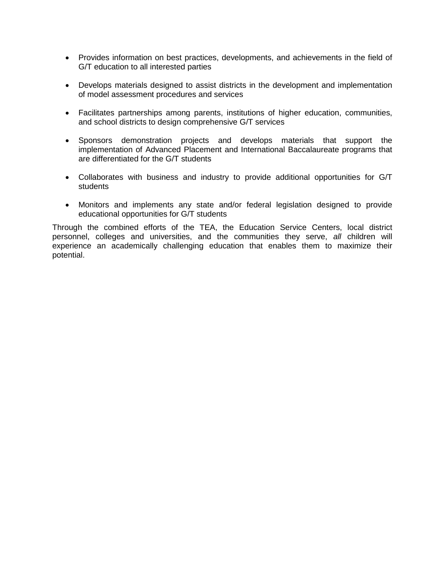- Provides information on best practices, developments, and achievements in the field of G/T education to all interested parties
- Develops materials designed to assist districts in the development and implementation of model assessment procedures and services
- Facilitates partnerships among parents, institutions of higher education, communities, and school districts to design comprehensive G/T services
- Sponsors demonstration projects and develops materials that support the implementation of Advanced Placement and International Baccalaureate programs that are differentiated for the G/T students
- Collaborates with business and industry to provide additional opportunities for G/T students
- Monitors and implements any state and/or federal legislation designed to provide educational opportunities for G/T students

Through the combined efforts of the TEA, the Education Service Centers, local district personnel, colleges and universities, and the communities they serve, *all* children will experience an academically challenging education that enables them to maximize their potential.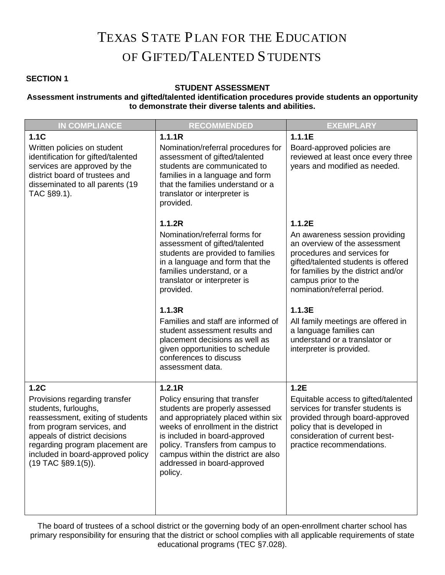## TEXAS STATE PLAN FOR THE EDUCATION OF GIFTED/TALENTED STUDENTS

## **SECTION 1**

#### **STUDENT ASSESSMENT**

#### **Assessment instruments and gifted/talented identification procedures provide students an opportunity to demonstrate their diverse talents and abilities.**

| <b>IN COMPLIANCE</b>                                                                                                                                                                                                                                                   | <b>RECOMMENDED</b>                                                                                                                                                                                                                                                                                            | <b>EXEMPLARY</b>                                                                                                                                                                                                                   |
|------------------------------------------------------------------------------------------------------------------------------------------------------------------------------------------------------------------------------------------------------------------------|---------------------------------------------------------------------------------------------------------------------------------------------------------------------------------------------------------------------------------------------------------------------------------------------------------------|------------------------------------------------------------------------------------------------------------------------------------------------------------------------------------------------------------------------------------|
| 1.1C                                                                                                                                                                                                                                                                   | 1.1.1R                                                                                                                                                                                                                                                                                                        | 1.1.1E                                                                                                                                                                                                                             |
| Written policies on student<br>identification for gifted/talented<br>services are approved by the<br>district board of trustees and<br>disseminated to all parents (19<br>TAC §89.1).                                                                                  | Nomination/referral procedures for<br>assessment of gifted/talented<br>students are communicated to<br>families in a language and form<br>that the families understand or a<br>translator or interpreter is<br>provided.                                                                                      | Board-approved policies are<br>reviewed at least once every three<br>years and modified as needed.                                                                                                                                 |
|                                                                                                                                                                                                                                                                        | 1.1.2R                                                                                                                                                                                                                                                                                                        | 1.1.2E                                                                                                                                                                                                                             |
|                                                                                                                                                                                                                                                                        | Nomination/referral forms for<br>assessment of gifted/talented<br>students are provided to families<br>in a language and form that the<br>families understand, or a<br>translator or interpreter is<br>provided.                                                                                              | An awareness session providing<br>an overview of the assessment<br>procedures and services for<br>gifted/talented students is offered<br>for families by the district and/or<br>campus prior to the<br>nomination/referral period. |
|                                                                                                                                                                                                                                                                        | 1.1.3R<br>Families and staff are informed of<br>student assessment results and<br>placement decisions as well as<br>given opportunities to schedule<br>conferences to discuss<br>assessment data.                                                                                                             | 1.1.3E<br>All family meetings are offered in<br>a language families can<br>understand or a translator or<br>interpreter is provided.                                                                                               |
| 1.2C<br>Provisions regarding transfer<br>students, furloughs,<br>reassessment, exiting of students<br>from program services, and<br>appeals of district decisions<br>regarding program placement are<br>included in board-approved policy<br>$(19$ TAC $\S 89.1(5)$ ). | 1.2.1R<br>Policy ensuring that transfer<br>students are properly assessed<br>and appropriately placed within six<br>weeks of enrollment in the district<br>is included in board-approved<br>policy. Transfers from campus to<br>campus within the district are also<br>addressed in board-approved<br>policy. | 1.2E<br>Equitable access to gifted/talented<br>services for transfer students is<br>provided through board-approved<br>policy that is developed in<br>consideration of current best-<br>practice recommendations.                  |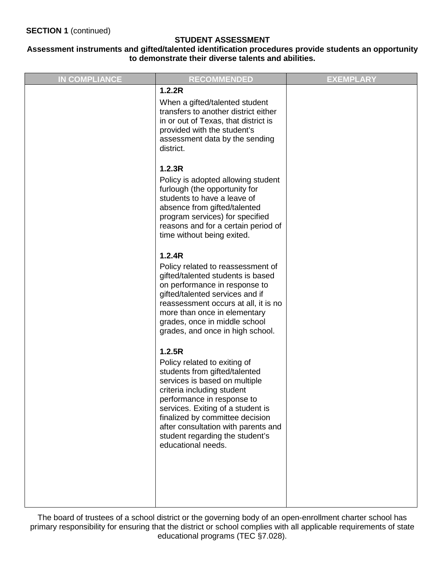#### **Assessment instruments and gifted/talented identification procedures provide students an opportunity to demonstrate their diverse talents and abilities.**

| <b>IN COMPLIANCE</b> | <b>RECOMMENDED</b>                                                                                                                                                                                                                                                                                                                           | <b>EXEMPLARY</b> |
|----------------------|----------------------------------------------------------------------------------------------------------------------------------------------------------------------------------------------------------------------------------------------------------------------------------------------------------------------------------------------|------------------|
|                      | 1.2.2R<br>When a gifted/talented student<br>transfers to another district either<br>in or out of Texas, that district is<br>provided with the student's<br>assessment data by the sending<br>district.                                                                                                                                       |                  |
|                      | 1.2.3R<br>Policy is adopted allowing student<br>furlough (the opportunity for<br>students to have a leave of<br>absence from gifted/talented<br>program services) for specified<br>reasons and for a certain period of<br>time without being exited.                                                                                         |                  |
|                      | 1.2.4R<br>Policy related to reassessment of<br>gifted/talented students is based<br>on performance in response to<br>gifted/talented services and if<br>reassessment occurs at all, it is no<br>more than once in elementary<br>grades, once in middle school<br>grades, and once in high school.                                            |                  |
|                      | 1.2.5R<br>Policy related to exiting of<br>students from gifted/talented<br>services is based on multiple<br>criteria including student<br>performance in response to<br>services. Exiting of a student is<br>finalized by committee decision<br>after consultation with parents and<br>student regarding the student's<br>educational needs. |                  |
|                      |                                                                                                                                                                                                                                                                                                                                              |                  |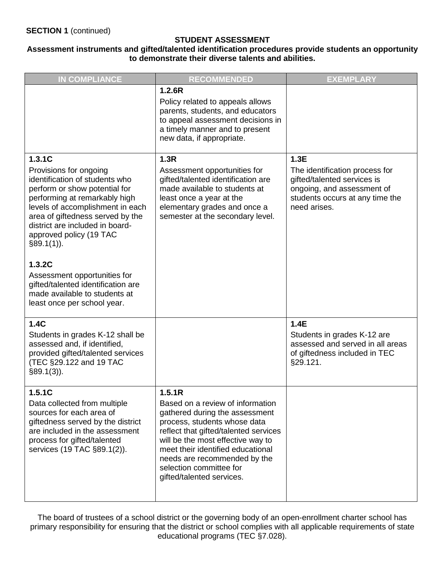#### **Assessment instruments and gifted/talented identification procedures provide students an opportunity to demonstrate their diverse talents and abilities.**

| <b>IN COMPLIANCE</b>                                                                                                                                                                                                                                                                                                                                                                                                                        | <b>RECOMMENDED</b>                                                                                                                                                                                                                                                                                                      | <b>EXEMPLARY</b>                                                                                                                                       |
|---------------------------------------------------------------------------------------------------------------------------------------------------------------------------------------------------------------------------------------------------------------------------------------------------------------------------------------------------------------------------------------------------------------------------------------------|-------------------------------------------------------------------------------------------------------------------------------------------------------------------------------------------------------------------------------------------------------------------------------------------------------------------------|--------------------------------------------------------------------------------------------------------------------------------------------------------|
|                                                                                                                                                                                                                                                                                                                                                                                                                                             | 1.2.6R<br>Policy related to appeals allows<br>parents, students, and educators<br>to appeal assessment decisions in<br>a timely manner and to present<br>new data, if appropriate.                                                                                                                                      |                                                                                                                                                        |
| 1.3.1C<br>Provisions for ongoing<br>identification of students who<br>perform or show potential for<br>performing at remarkably high<br>levels of accomplishment in each<br>area of giftedness served by the<br>district are included in board-<br>approved policy (19 TAC<br>$§89.1(1)$ ).<br>1.3.2C<br>Assessment opportunities for<br>gifted/talented identification are<br>made available to students at<br>least once per school year. | 1.3R<br>Assessment opportunities for<br>gifted/talented identification are<br>made available to students at<br>least once a year at the<br>elementary grades and once a<br>semester at the secondary level.                                                                                                             | 1.3E<br>The identification process for<br>gifted/talented services is<br>ongoing, and assessment of<br>students occurs at any time the<br>need arises. |
| 1.4C<br>Students in grades K-12 shall be<br>assessed and, if identified,<br>provided gifted/talented services<br>(TEC §29.122 and 19 TAC<br>$§89.1(3)$ ).                                                                                                                                                                                                                                                                                   |                                                                                                                                                                                                                                                                                                                         | 1.4E<br>Students in grades K-12 are<br>assessed and served in all areas<br>of giftedness included in TEC<br>§29.121.                                   |
| 1.5.1C<br>Data collected from multiple<br>sources for each area of<br>giftedness served by the district<br>are included in the assessment<br>process for gifted/talented<br>services (19 TAC §89.1(2)).                                                                                                                                                                                                                                     | 1.5.1R<br>Based on a review of information<br>gathered during the assessment<br>process, students whose data<br>reflect that gifted/talented services<br>will be the most effective way to<br>meet their identified educational<br>needs are recommended by the<br>selection committee for<br>gifted/talented services. |                                                                                                                                                        |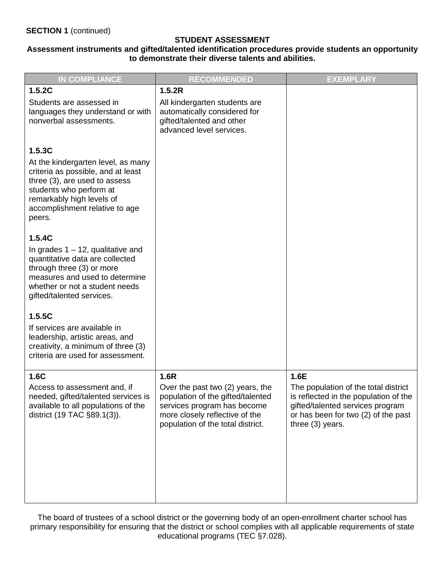#### **Assessment instruments and gifted/talented identification procedures provide students an opportunity to demonstrate their diverse talents and abilities.**

| <b>IN COMPLIANCE</b>                                                                                                                                                                                                    | <b>RECOMMENDED</b>                                                                                                                                                                  | <b>EXEMPLARY</b>                                                                                                                                                                     |
|-------------------------------------------------------------------------------------------------------------------------------------------------------------------------------------------------------------------------|-------------------------------------------------------------------------------------------------------------------------------------------------------------------------------------|--------------------------------------------------------------------------------------------------------------------------------------------------------------------------------------|
| 1.5.2C                                                                                                                                                                                                                  | 1.5.2R                                                                                                                                                                              |                                                                                                                                                                                      |
| Students are assessed in<br>languages they understand or with<br>nonverbal assessments.                                                                                                                                 | All kindergarten students are<br>automatically considered for<br>gifted/talented and other<br>advanced level services.                                                              |                                                                                                                                                                                      |
| 1.5.3C<br>At the kindergarten level, as many<br>criteria as possible, and at least<br>three (3), are used to assess<br>students who perform at<br>remarkably high levels of<br>accomplishment relative to age<br>peers. |                                                                                                                                                                                     |                                                                                                                                                                                      |
| 1.5.4C<br>In grades $1 - 12$ , qualitative and<br>quantitative data are collected<br>through three (3) or more<br>measures and used to determine<br>whether or not a student needs<br>gifted/talented services.         |                                                                                                                                                                                     |                                                                                                                                                                                      |
| 1.5.5C<br>If services are available in<br>leadership, artistic areas, and<br>creativity, a minimum of three (3)<br>criteria are used for assessment.                                                                    |                                                                                                                                                                                     |                                                                                                                                                                                      |
| 1.6C<br>Access to assessment and, if<br>needed, gifted/talented services is<br>available to all populations of the<br>district (19 TAC §89.1(3)).                                                                       | 1.6R<br>Over the past two (2) years, the<br>population of the gifted/talented<br>services program has become<br>more closely reflective of the<br>population of the total district. | 1.6E<br>The population of the total district<br>is reflected in the population of the<br>gifted/talented services program<br>or has been for two (2) of the past<br>three (3) years. |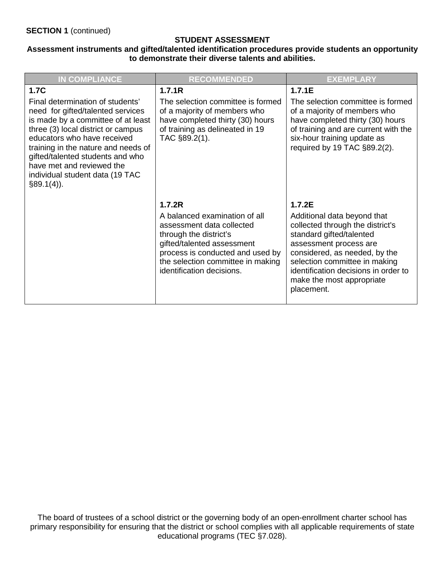#### **Assessment instruments and gifted/talented identification procedures provide students an opportunity to demonstrate their diverse talents and abilities.**

| <b>IN COMPLIANCE</b>                                                                                                                                                                                                                                                                                                                                        | <b>RECOMMENDED</b>                                                                                                                                                                                                                 | <b>EXEMPLARY</b>                                                                                                                                                                                                                                                                     |
|-------------------------------------------------------------------------------------------------------------------------------------------------------------------------------------------------------------------------------------------------------------------------------------------------------------------------------------------------------------|------------------------------------------------------------------------------------------------------------------------------------------------------------------------------------------------------------------------------------|--------------------------------------------------------------------------------------------------------------------------------------------------------------------------------------------------------------------------------------------------------------------------------------|
| <b>1.7C</b><br>Final determination of students'<br>need for gifted/talented services<br>is made by a committee of at least<br>three (3) local district or campus<br>educators who have received<br>training in the nature and needs of<br>gifted/talented students and who<br>have met and reviewed the<br>individual student data (19 TAC<br>$§89.1(4)$ ). | 1.7.1R<br>The selection committee is formed<br>of a majority of members who<br>have completed thirty (30) hours<br>of training as delineated in 19<br>TAC §89.2(1).                                                                | 1.7.1E<br>The selection committee is formed<br>of a majority of members who<br>have completed thirty (30) hours<br>of training and are current with the<br>six-hour training update as<br>required by 19 TAC §89.2(2).                                                               |
|                                                                                                                                                                                                                                                                                                                                                             | 1.7.2R<br>A balanced examination of all<br>assessment data collected<br>through the district's<br>gifted/talented assessment<br>process is conducted and used by<br>the selection committee in making<br>identification decisions. | 1.7.2E<br>Additional data beyond that<br>collected through the district's<br>standard gifted/talented<br>assessment process are<br>considered, as needed, by the<br>selection committee in making<br>identification decisions in order to<br>make the most appropriate<br>placement. |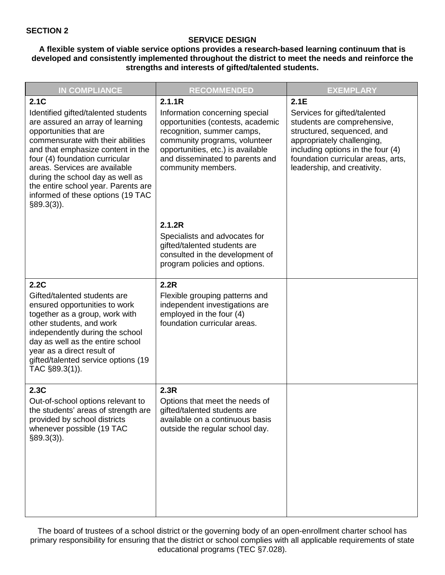#### **SERVICE DESIGN**

#### **A flexible system of viable service options provides a research-based learning continuum that is developed and consistently implemented throughout the district to meet the needs and reinforce the strengths and interests of gifted/talented students.**

| <b>IN COMPLIANCE</b>                                                                                                                                                                                                                                                                                                                                                                    | <b>RECOMMENDED</b>                                                                                                                                                                                                                         | <b>EXEMPLARY</b>                                                                                                                                                                                                                          |
|-----------------------------------------------------------------------------------------------------------------------------------------------------------------------------------------------------------------------------------------------------------------------------------------------------------------------------------------------------------------------------------------|--------------------------------------------------------------------------------------------------------------------------------------------------------------------------------------------------------------------------------------------|-------------------------------------------------------------------------------------------------------------------------------------------------------------------------------------------------------------------------------------------|
| 2.1C<br>Identified gifted/talented students<br>are assured an array of learning<br>opportunities that are<br>commensurate with their abilities<br>and that emphasize content in the<br>four (4) foundation curricular<br>areas. Services are available<br>during the school day as well as<br>the entire school year. Parents are<br>informed of these options (19 TAC<br>$§89.3(3)$ ). | 2.1.1R<br>Information concerning special<br>opportunities (contests, academic<br>recognition, summer camps,<br>community programs, volunteer<br>opportunities, etc.) is available<br>and disseminated to parents and<br>community members. | 2.1E<br>Services for gifted/talented<br>students are comprehensive,<br>structured, sequenced, and<br>appropriately challenging,<br>including options in the four (4)<br>foundation curricular areas, arts,<br>leadership, and creativity. |
|                                                                                                                                                                                                                                                                                                                                                                                         | 2.1.2R<br>Specialists and advocates for<br>gifted/talented students are<br>consulted in the development of<br>program policies and options.                                                                                                |                                                                                                                                                                                                                                           |
| 2.2C<br>Gifted/talented students are<br>ensured opportunities to work<br>together as a group, work with<br>other students, and work<br>independently during the school<br>day as well as the entire school<br>year as a direct result of<br>gifted/talented service options (19<br>TAC §89.3(1)).                                                                                       | 2.2R<br>Flexible grouping patterns and<br>independent investigations are<br>employed in the four (4)<br>foundation curricular areas.                                                                                                       |                                                                                                                                                                                                                                           |
| 2.3C<br>Out-of-school options relevant to<br>the students' areas of strength are<br>provided by school districts<br>whenever possible (19 TAC<br>$§89.3(3)$ ).                                                                                                                                                                                                                          | 2.3R<br>Options that meet the needs of<br>gifted/talented students are<br>available on a continuous basis<br>outside the regular school day.                                                                                               |                                                                                                                                                                                                                                           |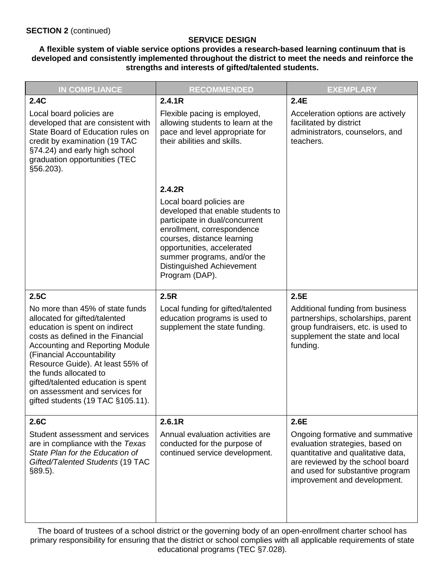#### **SERVICE DESIGN**

**A flexible system of viable service options provides a research-based learning continuum that is developed and consistently implemented throughout the district to meet the needs and reinforce the strengths and interests of gifted/talented students.**

| <b>IN COMPLIANCE</b>                                                                                                                                                                                                                                                                                                                                                                      | <b>RECOMMENDED</b>                                                                                                                                                                                                                                                             | <b>EXEMPLARY</b>                                                                                                                                                                                                 |
|-------------------------------------------------------------------------------------------------------------------------------------------------------------------------------------------------------------------------------------------------------------------------------------------------------------------------------------------------------------------------------------------|--------------------------------------------------------------------------------------------------------------------------------------------------------------------------------------------------------------------------------------------------------------------------------|------------------------------------------------------------------------------------------------------------------------------------------------------------------------------------------------------------------|
| 2.4C                                                                                                                                                                                                                                                                                                                                                                                      | 2.4.1R                                                                                                                                                                                                                                                                         | 2.4E                                                                                                                                                                                                             |
| Local board policies are<br>developed that are consistent with<br>State Board of Education rules on<br>credit by examination (19 TAC<br>§74.24) and early high school<br>graduation opportunities (TEC<br>§56.203).                                                                                                                                                                       | Flexible pacing is employed,<br>allowing students to learn at the<br>pace and level appropriate for<br>their abilities and skills.                                                                                                                                             | Acceleration options are actively<br>facilitated by district<br>administrators, counselors, and<br>teachers.                                                                                                     |
|                                                                                                                                                                                                                                                                                                                                                                                           | 2.4.2R                                                                                                                                                                                                                                                                         |                                                                                                                                                                                                                  |
|                                                                                                                                                                                                                                                                                                                                                                                           | Local board policies are<br>developed that enable students to<br>participate in dual/concurrent<br>enrollment, correspondence<br>courses, distance learning<br>opportunities, accelerated<br>summer programs, and/or the<br><b>Distinguished Achievement</b><br>Program (DAP). |                                                                                                                                                                                                                  |
| 2.5C                                                                                                                                                                                                                                                                                                                                                                                      | 2.5R                                                                                                                                                                                                                                                                           | 2.5E                                                                                                                                                                                                             |
| No more than 45% of state funds<br>allocated for gifted/talented<br>education is spent on indirect<br>costs as defined in the Financial<br><b>Accounting and Reporting Module</b><br>(Financial Accountability<br>Resource Guide). At least 55% of<br>the funds allocated to<br>gifted/talented education is spent<br>on assessment and services for<br>gifted students (19 TAC §105.11). | Local funding for gifted/talented<br>education programs is used to<br>supplement the state funding.                                                                                                                                                                            | Additional funding from business<br>partnerships, scholarships, parent<br>group fundraisers, etc. is used to<br>supplement the state and local<br>funding.                                                       |
| 2.6C                                                                                                                                                                                                                                                                                                                                                                                      | 2.6.1R                                                                                                                                                                                                                                                                         | 2.6E                                                                                                                                                                                                             |
| Student assessment and services<br>are in compliance with the Texas<br>State Plan for the Education of<br>Gifted/Talented Students (19 TAC<br>$§89.5$ ).                                                                                                                                                                                                                                  | Annual evaluation activities are<br>conducted for the purpose of<br>continued service development.                                                                                                                                                                             | Ongoing formative and summative<br>evaluation strategies, based on<br>quantitative and qualitative data,<br>are reviewed by the school board<br>and used for substantive program<br>improvement and development. |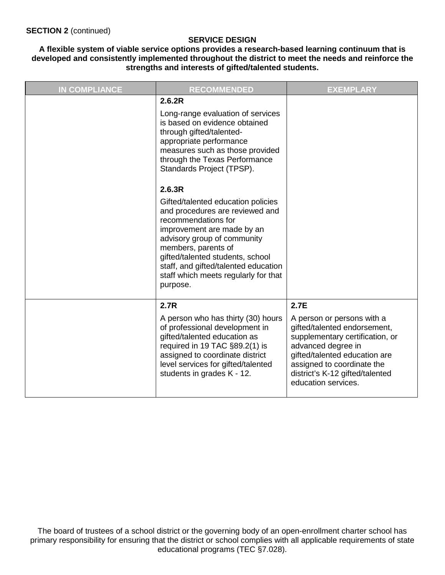#### **SERVICE DESIGN**

**A flexible system of viable service options provides a research-based learning continuum that is developed and consistently implemented throughout the district to meet the needs and reinforce the strengths and interests of gifted/talented students.**

| <b>IN COMPLIANCE</b> | <b>RECOMMENDED</b>                                                                                                                                                                                                                                                                                               | <b>EXEMPLARY</b>                                                                                                                                                                                                                                     |
|----------------------|------------------------------------------------------------------------------------------------------------------------------------------------------------------------------------------------------------------------------------------------------------------------------------------------------------------|------------------------------------------------------------------------------------------------------------------------------------------------------------------------------------------------------------------------------------------------------|
|                      | 2.6.2R<br>Long-range evaluation of services<br>is based on evidence obtained<br>through gifted/talented-<br>appropriate performance<br>measures such as those provided<br>through the Texas Performance<br>Standards Project (TPSP).<br>2.6.3R                                                                   |                                                                                                                                                                                                                                                      |
|                      | Gifted/talented education policies<br>and procedures are reviewed and<br>recommendations for<br>improvement are made by an<br>advisory group of community<br>members, parents of<br>gifted/talented students, school<br>staff, and gifted/talented education<br>staff which meets regularly for that<br>purpose. |                                                                                                                                                                                                                                                      |
|                      | 2.7R<br>A person who has thirty (30) hours<br>of professional development in<br>gifted/talented education as<br>required in 19 TAC §89.2(1) is<br>assigned to coordinate district<br>level services for gifted/talented<br>students in grades K - 12.                                                            | 2.7E<br>A person or persons with a<br>gifted/talented endorsement,<br>supplementary certification, or<br>advanced degree in<br>gifted/talented education are<br>assigned to coordinate the<br>district's K-12 gifted/talented<br>education services. |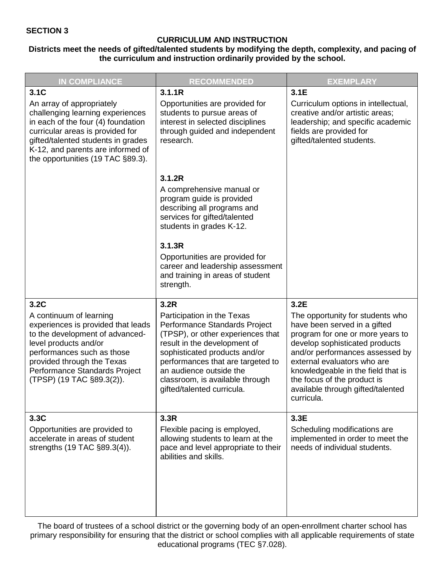#### **CURRICULUM AND INSTRUCTION**

#### **Districts meet the needs of gifted/talented students by modifying the depth, complexity, and pacing of the curriculum and instruction ordinarily provided by the school.**

| <b>IN COMPLIANCE</b>                                                                                                                                                                                                                                            | <b>RECOMMENDED</b>                                                                                                                                                                                                                                                                                         | <b>EXEMPLARY</b>                                                                                                                                                                                                                                                                                                                         |
|-----------------------------------------------------------------------------------------------------------------------------------------------------------------------------------------------------------------------------------------------------------------|------------------------------------------------------------------------------------------------------------------------------------------------------------------------------------------------------------------------------------------------------------------------------------------------------------|------------------------------------------------------------------------------------------------------------------------------------------------------------------------------------------------------------------------------------------------------------------------------------------------------------------------------------------|
| 3.1C<br>An array of appropriately<br>challenging learning experiences<br>in each of the four (4) foundation<br>curricular areas is provided for<br>gifted/talented students in grades<br>K-12, and parents are informed of<br>the opportunities (19 TAC §89.3). | 3.1.1R<br>Opportunities are provided for<br>students to pursue areas of<br>interest in selected disciplines<br>through guided and independent<br>research.                                                                                                                                                 | 3.1E<br>Curriculum options in intellectual,<br>creative and/or artistic areas;<br>leadership; and specific academic<br>fields are provided for<br>gifted/talented students.                                                                                                                                                              |
|                                                                                                                                                                                                                                                                 | 3.1.2R<br>A comprehensive manual or<br>program guide is provided<br>describing all programs and<br>services for gifted/talented<br>students in grades K-12.<br>3.1.3R<br>Opportunities are provided for<br>career and leadership assessment<br>and training in areas of student<br>strength.               |                                                                                                                                                                                                                                                                                                                                          |
| 3.2C<br>A continuum of learning<br>experiences is provided that leads<br>to the development of advanced-<br>level products and/or<br>performances such as those<br>provided through the Texas<br>Performance Standards Project<br>(TPSP) (19 TAC §89.3(2)).     | 3.2R<br>Participation in the Texas<br>Performance Standards Project<br>(TPSP), or other experiences that<br>result in the development of<br>sophisticated products and/or<br>performances that are targeted to<br>an audience outside the<br>classroom, is available through<br>gifted/talented curricula. | 3.2E<br>The opportunity for students who<br>have been served in a gifted<br>program for one or more years to<br>develop sophisticated products<br>and/or performances assessed by<br>external evaluators who are<br>knowledgeable in the field that is<br>the focus of the product is<br>available through gifted/talented<br>curricula. |
| 3.3C<br>Opportunities are provided to<br>accelerate in areas of student<br>strengths (19 TAC §89.3(4)).                                                                                                                                                         | 3.3R<br>Flexible pacing is employed,<br>allowing students to learn at the<br>pace and level appropriate to their<br>abilities and skills.                                                                                                                                                                  | 3.3E<br>Scheduling modifications are<br>implemented in order to meet the<br>needs of individual students.                                                                                                                                                                                                                                |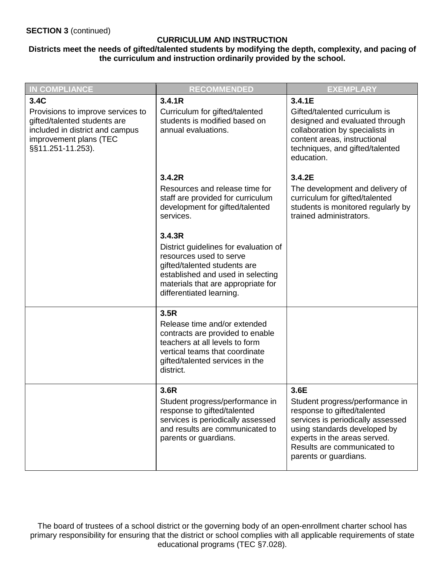#### **CURRICULUM AND INSTRUCTION**

#### **Districts meet the needs of gifted/talented students by modifying the depth, complexity, and pacing of the curriculum and instruction ordinarily provided by the school.**

| <b>IN COMPLIANCE</b>                                                                                                                                        | <b>RECOMMENDED</b>                                                                                                                                                                                                                                                                                                                                 | <b>EXEMPLARY</b>                                                                                                                                                                                                                    |
|-------------------------------------------------------------------------------------------------------------------------------------------------------------|----------------------------------------------------------------------------------------------------------------------------------------------------------------------------------------------------------------------------------------------------------------------------------------------------------------------------------------------------|-------------------------------------------------------------------------------------------------------------------------------------------------------------------------------------------------------------------------------------|
| 3.4C<br>Provisions to improve services to<br>gifted/talented students are<br>included in district and campus<br>improvement plans (TEC<br>§§11.251-11.253). | 3.4.1R<br>Curriculum for gifted/talented<br>students is modified based on<br>annual evaluations.                                                                                                                                                                                                                                                   | 3.4.1E<br>Gifted/talented curriculum is<br>designed and evaluated through<br>collaboration by specialists in<br>content areas, instructional<br>techniques, and gifted/talented<br>education.                                       |
|                                                                                                                                                             | 3.4.2R<br>Resources and release time for<br>staff are provided for curriculum<br>development for gifted/talented<br>services.<br>3.4.3R<br>District guidelines for evaluation of<br>resources used to serve<br>gifted/talented students are<br>established and used in selecting<br>materials that are appropriate for<br>differentiated learning. | 3.4.2E<br>The development and delivery of<br>curriculum for gifted/talented<br>students is monitored regularly by<br>trained administrators.                                                                                        |
|                                                                                                                                                             | 3.5R<br>Release time and/or extended<br>contracts are provided to enable<br>teachers at all levels to form<br>vertical teams that coordinate<br>gifted/talented services in the<br>district.                                                                                                                                                       |                                                                                                                                                                                                                                     |
|                                                                                                                                                             | 3.6R<br>Student progress/performance in<br>response to gifted/talented<br>services is periodically assessed<br>and results are communicated to<br>parents or guardians.                                                                                                                                                                            | 3.6E<br>Student progress/performance in<br>response to gifted/talented<br>services is periodically assessed<br>using standards developed by<br>experts in the areas served.<br>Results are communicated to<br>parents or guardians. |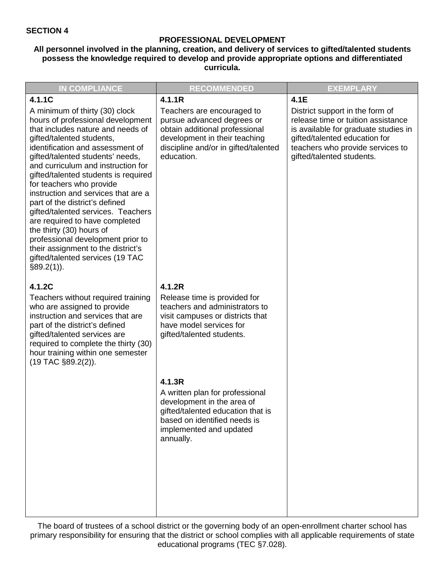#### **PROFESSIONAL DEVELOPMENT**

#### **All personnel involved in the planning, creation, and delivery of services to gifted/talented students possess the knowledge required to develop and provide appropriate options and differentiated curricula.**

| <b>IN COMPLIANCE</b>                                                                                                                                                                                                                                                                                                                                                                                                                                                                                                                                                                                                                           | <b>RECOMMENDED</b>                                                                                                                                                                          | <b>EXEMPLARY</b>                                                                                                                                                                                                        |
|------------------------------------------------------------------------------------------------------------------------------------------------------------------------------------------------------------------------------------------------------------------------------------------------------------------------------------------------------------------------------------------------------------------------------------------------------------------------------------------------------------------------------------------------------------------------------------------------------------------------------------------------|---------------------------------------------------------------------------------------------------------------------------------------------------------------------------------------------|-------------------------------------------------------------------------------------------------------------------------------------------------------------------------------------------------------------------------|
| 4.1.1C<br>A minimum of thirty (30) clock<br>hours of professional development<br>that includes nature and needs of<br>gifted/talented students,<br>identification and assessment of<br>gifted/talented students' needs,<br>and curriculum and instruction for<br>gifted/talented students is required<br>for teachers who provide<br>instruction and services that are a<br>part of the district's defined<br>gifted/talented services. Teachers<br>are required to have completed<br>the thirty (30) hours of<br>professional development prior to<br>their assignment to the district's<br>gifted/talented services (19 TAC<br>$§89.2(1)$ ). | 4.1.1R<br>Teachers are encouraged to<br>pursue advanced degrees or<br>obtain additional professional<br>development in their teaching<br>discipline and/or in gifted/talented<br>education. | 4.1E<br>District support in the form of<br>release time or tuition assistance<br>is available for graduate studies in<br>gifted/talented education for<br>teachers who provide services to<br>gifted/talented students. |
| 4.1.2C<br>Teachers without required training<br>who are assigned to provide<br>instruction and services that are<br>part of the district's defined<br>gifted/talented services are<br>required to complete the thirty (30)<br>hour training within one semester<br>$(19$ TAC $\S 89.2(2)$ ).                                                                                                                                                                                                                                                                                                                                                   | 4.1.2R<br>Release time is provided for<br>teachers and administrators to<br>visit campuses or districts that<br>have model services for<br>gifted/talented students.                        |                                                                                                                                                                                                                         |
|                                                                                                                                                                                                                                                                                                                                                                                                                                                                                                                                                                                                                                                | 4.1.3R<br>A written plan for professional<br>development in the area of<br>gifted/talented education that is<br>based on identified needs is<br>implemented and updated<br>annually.        |                                                                                                                                                                                                                         |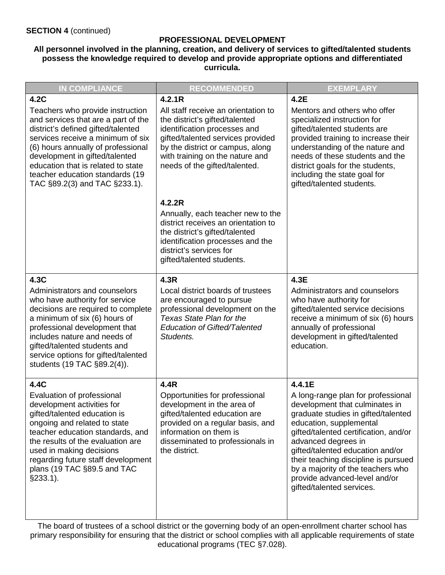#### **PROFESSIONAL DEVELOPMENT**

#### **All personnel involved in the planning, creation, and delivery of services to gifted/talented students possess the knowledge required to develop and provide appropriate options and differentiated curricula.**

| <b>IN COMPLIANCE</b>                                                                                                                                                                                                                                                                                                                 | <b>RECOMMENDED</b>                                                                                                                                                                                                                                 | <b>EXEMPLARY</b>                                                                                                                                                                                                                                                                                                                                                                                |
|--------------------------------------------------------------------------------------------------------------------------------------------------------------------------------------------------------------------------------------------------------------------------------------------------------------------------------------|----------------------------------------------------------------------------------------------------------------------------------------------------------------------------------------------------------------------------------------------------|-------------------------------------------------------------------------------------------------------------------------------------------------------------------------------------------------------------------------------------------------------------------------------------------------------------------------------------------------------------------------------------------------|
| 4.2C                                                                                                                                                                                                                                                                                                                                 | 4.2.1R                                                                                                                                                                                                                                             | 4.2E                                                                                                                                                                                                                                                                                                                                                                                            |
| Teachers who provide instruction<br>and services that are a part of the<br>district's defined gifted/talented<br>services receive a minimum of six<br>(6) hours annually of professional<br>development in gifted/talented<br>education that is related to state<br>teacher education standards (19<br>TAC §89.2(3) and TAC §233.1). | All staff receive an orientation to<br>the district's gifted/talented<br>identification processes and<br>gifted/talented services provided<br>by the district or campus, along<br>with training on the nature and<br>needs of the gifted/talented. | Mentors and others who offer<br>specialized instruction for<br>gifted/talented students are<br>provided training to increase their<br>understanding of the nature and<br>needs of these students and the<br>district goals for the students,<br>including the state goal for<br>gifted/talented students.                                                                                       |
|                                                                                                                                                                                                                                                                                                                                      | 4.2.2R<br>Annually, each teacher new to the<br>district receives an orientation to<br>the district's gifted/talented<br>identification processes and the<br>district's services for<br>gifted/talented students.                                   |                                                                                                                                                                                                                                                                                                                                                                                                 |
| 4.3C<br>Administrators and counselors<br>who have authority for service<br>decisions are required to complete<br>a minimum of six (6) hours of<br>professional development that<br>includes nature and needs of<br>gifted/talented students and<br>service options for gifted/talented<br>students (19 TAC §89.2(4)).                | 4.3R<br>Local district boards of trustees<br>are encouraged to pursue<br>professional development on the<br>Texas State Plan for the<br><b>Education of Gifted/Talented</b><br>Students.                                                           | 4.3E<br>Administrators and counselors<br>who have authority for<br>gifted/talented service decisions<br>receive a minimum of six (6) hours<br>annually of professional<br>development in gifted/talented<br>education.                                                                                                                                                                          |
| 4.4C<br>Evaluation of professional<br>development activities for<br>gifted/talented education is<br>ongoing and related to state<br>teacher education standards, and<br>the results of the evaluation are<br>used in making decisions<br>regarding future staff development<br>plans (19 TAC §89.5 and TAC<br>$§233.1$ ).            | 4.4R<br>Opportunities for professional<br>development in the area of<br>gifted/talented education are<br>provided on a regular basis, and<br>information on them is<br>disseminated to professionals in<br>the district.                           | 4.4.1E<br>A long-range plan for professional<br>development that culminates in<br>graduate studies in gifted/talented<br>education, supplemental<br>gifted/talented certification, and/or<br>advanced degrees in<br>gifted/talented education and/or<br>their teaching discipline is pursued<br>by a majority of the teachers who<br>provide advanced-level and/or<br>gifted/talented services. |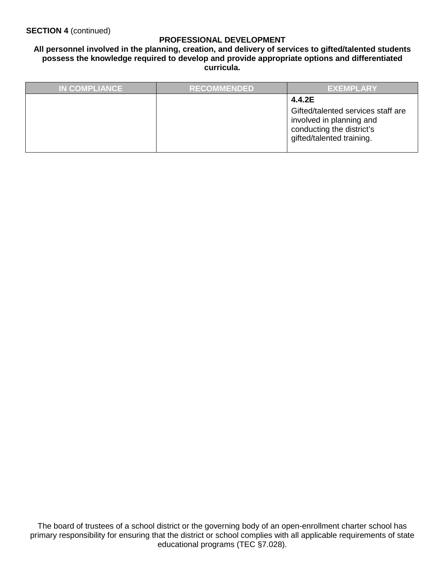#### **PROFESSIONAL DEVELOPMENT**

#### **All personnel involved in the planning, creation, and delivery of services to gifted/talented students possess the knowledge required to develop and provide appropriate options and differentiated curricula.**

| <b>IN COMPLIANCE</b> | <b>RECOMMENDED</b> | <b>EXEMPLARY</b>                                                                                                                   |
|----------------------|--------------------|------------------------------------------------------------------------------------------------------------------------------------|
|                      |                    | 4.4.2E<br>Gifted/talented services staff are<br>involved in planning and<br>conducting the district's<br>gifted/talented training. |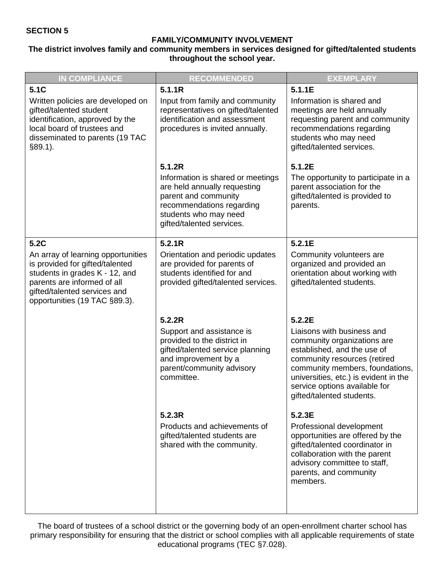#### **FAMILY/COMMUNITY INVOLVEMENT**

**The district involves family and community members in services designed for gifted/talented students throughout the school year.**

| <b>IN COMPLIANCE</b>                                                                                                                                                                                    | <b>RECOMMENDED</b>                                                                                                                                                                     | <b>EXEMPLARY</b>                                                                                                                                                                                                                                                   |
|---------------------------------------------------------------------------------------------------------------------------------------------------------------------------------------------------------|----------------------------------------------------------------------------------------------------------------------------------------------------------------------------------------|--------------------------------------------------------------------------------------------------------------------------------------------------------------------------------------------------------------------------------------------------------------------|
| 5.1C                                                                                                                                                                                                    | 5.1.1R                                                                                                                                                                                 | 5.1.1E                                                                                                                                                                                                                                                             |
| Written policies are developed on<br>gifted/talented student<br>identification, approved by the<br>local board of trustees and<br>disseminated to parents (19 TAC<br>$§89.1$ ).                         | Input from family and community<br>representatives on gifted/talented<br>identification and assessment<br>procedures is invited annually.                                              | Information is shared and<br>meetings are held annually<br>requesting parent and community<br>recommendations regarding<br>students who may need<br>gifted/talented services.                                                                                      |
|                                                                                                                                                                                                         | 5.1.2R<br>Information is shared or meetings<br>are held annually requesting<br>parent and community<br>recommendations regarding<br>students who may need<br>gifted/talented services. | 5.1.2E<br>The opportunity to participate in a<br>parent association for the<br>gifted/talented is provided to<br>parents.                                                                                                                                          |
| 5.2C                                                                                                                                                                                                    | 5.2.1R                                                                                                                                                                                 | 5.2.1E                                                                                                                                                                                                                                                             |
| An array of learning opportunities<br>is provided for gifted/talented<br>students in grades K - 12, and<br>parents are informed of all<br>gifted/talented services and<br>opportunities (19 TAC §89.3). | Orientation and periodic updates<br>are provided for parents of<br>students identified for and<br>provided gifted/talented services.                                                   | Community volunteers are<br>organized and provided an<br>orientation about working with<br>gifted/talented students.                                                                                                                                               |
|                                                                                                                                                                                                         | 5.2.2R                                                                                                                                                                                 | 5.2.2E                                                                                                                                                                                                                                                             |
|                                                                                                                                                                                                         | Support and assistance is<br>provided to the district in<br>gifted/talented service planning<br>and improvement by a<br>parent/community advisory<br>committee.                        | Liaisons with business and<br>community organizations are<br>established, and the use of<br>community resources (retired<br>community members, foundations,<br>universities, etc.) is evident in the<br>service options available for<br>gifted/talented students. |
|                                                                                                                                                                                                         | 5.2.3R                                                                                                                                                                                 | 5.2.3E                                                                                                                                                                                                                                                             |
|                                                                                                                                                                                                         | Products and achievements of<br>gifted/talented students are<br>shared with the community.                                                                                             | Professional development<br>opportunities are offered by the<br>gifted/talented coordinator in<br>collaboration with the parent<br>advisory committee to staff,<br>parents, and community<br>members.                                                              |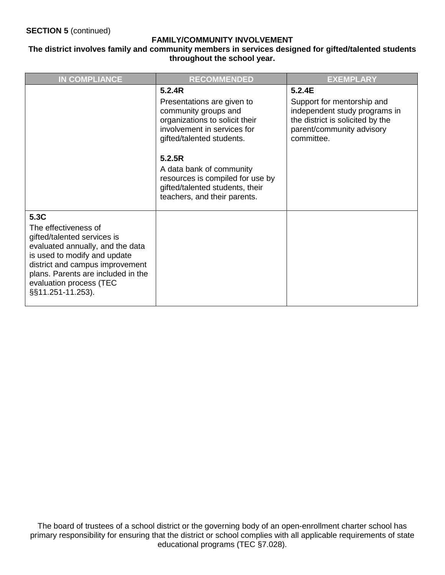#### **FAMILY/COMMUNITY INVOLVEMENT**

#### **The district involves family and community members in services designed for gifted/talented students throughout the school year.**

| <b>IN COMPLIANCE</b>                                                                                                                                                                                                                                     | <b>RECOMMENDED</b>                                                                                                                               | <b>EXEMPLARY</b>                                                                                                                           |
|----------------------------------------------------------------------------------------------------------------------------------------------------------------------------------------------------------------------------------------------------------|--------------------------------------------------------------------------------------------------------------------------------------------------|--------------------------------------------------------------------------------------------------------------------------------------------|
|                                                                                                                                                                                                                                                          | 5.2.4R                                                                                                                                           | 5.2.4E                                                                                                                                     |
|                                                                                                                                                                                                                                                          | Presentations are given to<br>community groups and<br>organizations to solicit their<br>involvement in services for<br>gifted/talented students. | Support for mentorship and<br>independent study programs in<br>the district is solicited by the<br>parent/community advisory<br>committee. |
|                                                                                                                                                                                                                                                          | 5.2.5R<br>A data bank of community<br>resources is compiled for use by<br>gifted/talented students, their<br>teachers, and their parents.        |                                                                                                                                            |
| 5.3C<br>The effectiveness of<br>gifted/talented services is<br>evaluated annually, and the data<br>is used to modify and update<br>district and campus improvement<br>plans. Parents are included in the<br>evaluation process (TEC<br>§§11.251-11.253). |                                                                                                                                                  |                                                                                                                                            |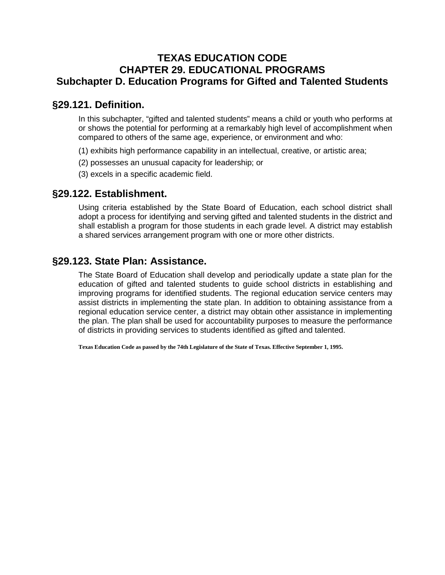## **TEXAS EDUCATION CODE CHAPTER 29. EDUCATIONAL PROGRAMS Subchapter D. Education Programs for Gifted and Talented Students**

## **§29.121. Definition.**

In this subchapter, "gifted and talented students" means a child or youth who performs at or shows the potential for performing at a remarkably high level of accomplishment when compared to others of the same age, experience, or environment and who:

- (1) exhibits high performance capability in an intellectual, creative, or artistic area;
- (2) possesses an unusual capacity for leadership; or
- (3) excels in a specific academic field.

## **§29.122. Establishment.**

Using criteria established by the State Board of Education, each school district shall adopt a process for identifying and serving gifted and talented students in the district and shall establish a program for those students in each grade level. A district may establish a shared services arrangement program with one or more other districts.

## **§29.123. State Plan: Assistance.**

The State Board of Education shall develop and periodically update a state plan for the education of gifted and talented students to guide school districts in establishing and improving programs for identified students. The regional education service centers may assist districts in implementing the state plan. In addition to obtaining assistance from a regional education service center, a district may obtain other assistance in implementing the plan. The plan shall be used for accountability purposes to measure the performance of districts in providing services to students identified as gifted and talented.

**Texas Education Code as passed by the 74th Legislature of the State of Texas. Effective September 1, 1995.**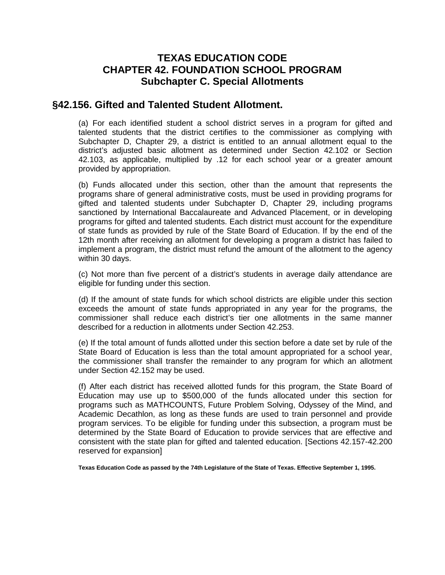## **TEXAS EDUCATION CODE CHAPTER 42. FOUNDATION SCHOOL PROGRAM Subchapter C. Special Allotments**

## **§42.156. Gifted and Talented Student Allotment.**

(a) For each identified student a school district serves in a program for gifted and talented students that the district certifies to the commissioner as complying with Subchapter D, Chapter 29, a district is entitled to an annual allotment equal to the district's adjusted basic allotment as determined under Section 42.102 or Section 42.103, as applicable, multiplied by .12 for each school year or a greater amount provided by appropriation.

(b) Funds allocated under this section, other than the amount that represents the programs share of general administrative costs, must be used in providing programs for gifted and talented students under Subchapter D, Chapter 29, including programs sanctioned by International Baccalaureate and Advanced Placement, or in developing programs for gifted and talented students. Each district must account for the expenditure of state funds as provided by rule of the State Board of Education. If by the end of the 12th month after receiving an allotment for developing a program a district has failed to implement a program, the district must refund the amount of the allotment to the agency within 30 days.

(c) Not more than five percent of a district's students in average daily attendance are eligible for funding under this section.

(d) If the amount of state funds for which school districts are eligible under this section exceeds the amount of state funds appropriated in any year for the programs, the commissioner shall reduce each district's tier one allotments in the same manner described for a reduction in allotments under Section 42.253.

(e) If the total amount of funds allotted under this section before a date set by rule of the State Board of Education is less than the total amount appropriated for a school year, the commissioner shall transfer the remainder to any program for which an allotment under Section 42.152 may be used.

(f) After each district has received allotted funds for this program, the State Board of Education may use up to \$500,000 of the funds allocated under this section for programs such as MATHCOUNTS, Future Problem Solving, Odyssey of the Mind, and Academic Decathlon, as long as these funds are used to train personnel and provide program services. To be eligible for funding under this subsection, a program must be determined by the State Board of Education to provide services that are effective and consistent with the state plan for gifted and talented education. [Sections 42.157-42.200 reserved for expansion]

**Texas Education Code as passed by the 74th Legislature of the State of Texas. Effective September 1, 1995.**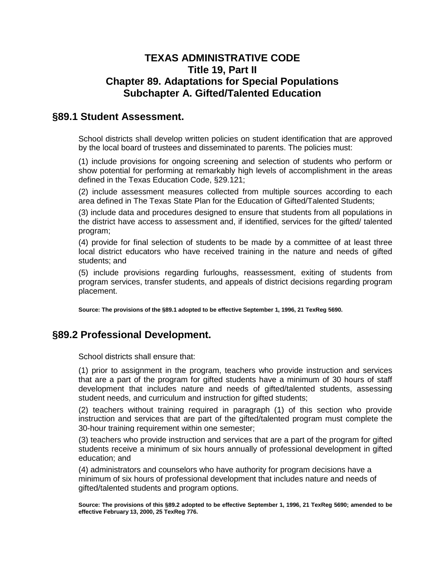## **TEXAS ADMINISTRATIVE CODE Title 19, Part II Chapter 89. Adaptations for Special Populations Subchapter A. Gifted/Talented Education**

## **§89.1 Student Assessment.**

School districts shall develop written policies on student identification that are approved by the local board of trustees and disseminated to parents. The policies must:

(1) include provisions for ongoing screening and selection of students who perform or show potential for performing at remarkably high levels of accomplishment in the areas defined in the Texas Education Code, §29.121;

(2) include assessment measures collected from multiple sources according to each area defined in The Texas State Plan for the Education of Gifted/Talented Students;

(3) include data and procedures designed to ensure that students from all populations in the district have access to assessment and, if identified, services for the gifted/ talented program;

(4) provide for final selection of students to be made by a committee of at least three local district educators who have received training in the nature and needs of gifted students; and

(5) include provisions regarding furloughs, reassessment, exiting of students from program services, transfer students, and appeals of district decisions regarding program placement.

**Source: The provisions of the §89.1 adopted to be effective September 1, 1996, 21 TexReg 5690.** 

## **§89.2 Professional Development.**

School districts shall ensure that:

(1) prior to assignment in the program, teachers who provide instruction and services that are a part of the program for gifted students have a minimum of 30 hours of staff development that includes nature and needs of gifted/talented students, assessing student needs, and curriculum and instruction for gifted students;

(2) teachers without training required in paragraph (1) of this section who provide instruction and services that are part of the gifted/talented program must complete the 30-hour training requirement within one semester;

(3) teachers who provide instruction and services that are a part of the program for gifted students receive a minimum of six hours annually of professional development in gifted education; and

(4) administrators and counselors who have authority for program decisions have a minimum of six hours of professional development that includes nature and needs of gifted/talented students and program options.

**Source: The provisions of this §89.2 adopted to be effective September 1, 1996, 21 TexReg 5690; amended to be effective February 13, 2000, 25 TexReg 776.**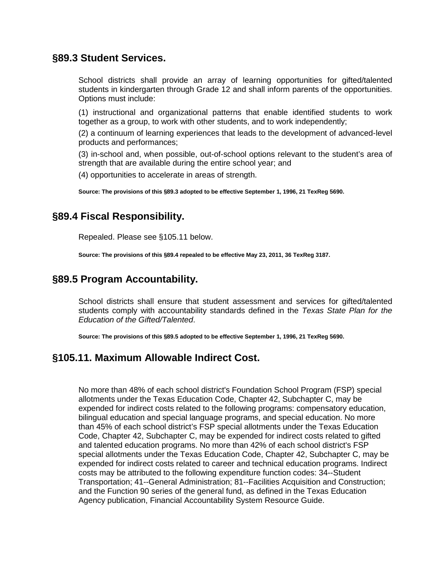## **§89.3 Student Services.**

School districts shall provide an array of learning opportunities for gifted/talented students in kindergarten through Grade 12 and shall inform parents of the opportunities. Options must include:

(1) instructional and organizational patterns that enable identified students to work together as a group, to work with other students, and to work independently;

(2) a continuum of learning experiences that leads to the development of advanced-level products and performances;

(3) in-school and, when possible, out-of-school options relevant to the student's area of strength that are available during the entire school year; and

(4) opportunities to accelerate in areas of strength.

**Source: The provisions of this §89.3 adopted to be effective September 1, 1996, 21 TexReg 5690.** 

## **§89.4 Fiscal Responsibility.**

Repealed. Please see §105.11 below.

**Source: The provisions of this §89.4 repealed to be effective May 23, 2011, 36 TexReg 3187.** 

## **§89.5 Program Accountability.**

School districts shall ensure that student assessment and services for gifted/talented students comply with accountability standards defined in the *Texas State Plan for the Education of the Gifted/Talented*.

**Source: The provisions of this §89.5 adopted to be effective September 1, 1996, 21 TexReg 5690.** 

## **§105.11. Maximum Allowable Indirect Cost.**

No more than 48% of each school district's Foundation School Program (FSP) special allotments under the Texas Education Code, Chapter 42, Subchapter C, may be expended for indirect costs related to the following programs: compensatory education, bilingual education and special language programs, and special education. No more than 45% of each school district's FSP special allotments under the Texas Education Code, Chapter 42, Subchapter C, may be expended for indirect costs related to gifted and talented education programs. No more than 42% of each school district's FSP special allotments under the Texas Education Code, Chapter 42, Subchapter C, may be expended for indirect costs related to career and technical education programs. Indirect costs may be attributed to the following expenditure function codes: 34--Student Transportation; 41--General Administration; 81--Facilities Acquisition and Construction; and the Function 90 series of the general fund, as defined in the Texas Education Agency publication, Financial Accountability System Resource Guide.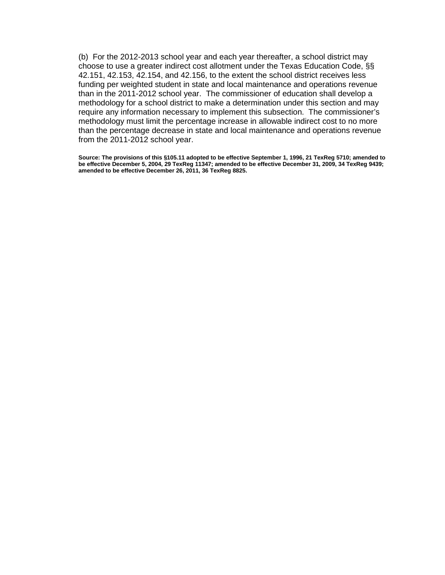(b) For the 2012-2013 school year and each year thereafter, a school district may choose to use a greater indirect cost allotment under the Texas Education Code, §§ 42.151, 42.153, 42.154, and 42.156, to the extent the school district receives less funding per weighted student in state and local maintenance and operations revenue than in the 2011-2012 school year. The commissioner of education shall develop a methodology for a school district to make a determination under this section and may require any information necessary to implement this subsection. The commissioner's methodology must limit the percentage increase in allowable indirect cost to no more than the percentage decrease in state and local maintenance and operations revenue from the 2011-2012 school year.

**Source: The provisions of this §105.11 adopted to be effective September 1, 1996, 21 TexReg 5710; amended to be effective December 5, 2004, 29 TexReg 11347; amended to be effective December 31, 2009, 34 TexReg 9439; amended to be effective December 26, 2011, 36 TexReg 8825.**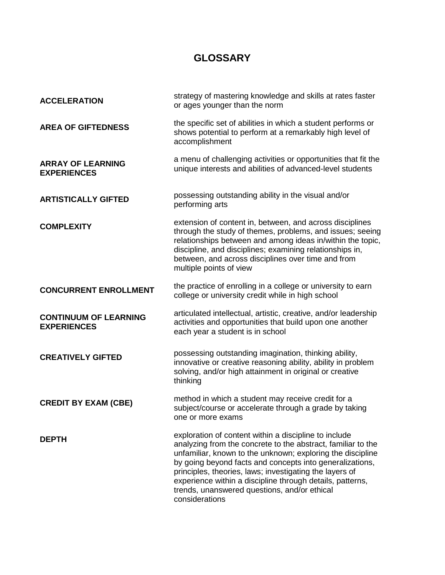## **GLOSSARY**

| <b>ACCELERATION</b>                                | strategy of mastering knowledge and skills at rates faster<br>or ages younger than the norm                                                                                                                                                                                                                                                                                                                                               |
|----------------------------------------------------|-------------------------------------------------------------------------------------------------------------------------------------------------------------------------------------------------------------------------------------------------------------------------------------------------------------------------------------------------------------------------------------------------------------------------------------------|
| <b>AREA OF GIFTEDNESS</b>                          | the specific set of abilities in which a student performs or<br>shows potential to perform at a remarkably high level of<br>accomplishment                                                                                                                                                                                                                                                                                                |
| <b>ARRAY OF LEARNING</b><br><b>EXPERIENCES</b>     | a menu of challenging activities or opportunities that fit the<br>unique interests and abilities of advanced-level students                                                                                                                                                                                                                                                                                                               |
| <b>ARTISTICALLY GIFTED</b>                         | possessing outstanding ability in the visual and/or<br>performing arts                                                                                                                                                                                                                                                                                                                                                                    |
| <b>COMPLEXITY</b>                                  | extension of content in, between, and across disciplines<br>through the study of themes, problems, and issues; seeing<br>relationships between and among ideas in/within the topic,<br>discipline, and disciplines; examining relationships in,<br>between, and across disciplines over time and from<br>multiple points of view                                                                                                          |
| <b>CONCURRENT ENROLLMENT</b>                       | the practice of enrolling in a college or university to earn<br>college or university credit while in high school                                                                                                                                                                                                                                                                                                                         |
| <b>CONTINUUM OF LEARNING</b><br><b>EXPERIENCES</b> | articulated intellectual, artistic, creative, and/or leadership<br>activities and opportunities that build upon one another<br>each year a student is in school                                                                                                                                                                                                                                                                           |
| <b>CREATIVELY GIFTED</b>                           | possessing outstanding imagination, thinking ability,<br>innovative or creative reasoning ability, ability in problem<br>solving, and/or high attainment in original or creative<br>thinking                                                                                                                                                                                                                                              |
| <b>CREDIT BY EXAM (CBE)</b>                        | method in which a student may receive credit for a<br>subject/course or accelerate through a grade by taking<br>one or more exams                                                                                                                                                                                                                                                                                                         |
| <b>DEPTH</b>                                       | exploration of content within a discipline to include<br>analyzing from the concrete to the abstract, familiar to the<br>unfamiliar, known to the unknown; exploring the discipline<br>by going beyond facts and concepts into generalizations,<br>principles, theories, laws; investigating the layers of<br>experience within a discipline through details, patterns,<br>trends, unanswered questions, and/or ethical<br>considerations |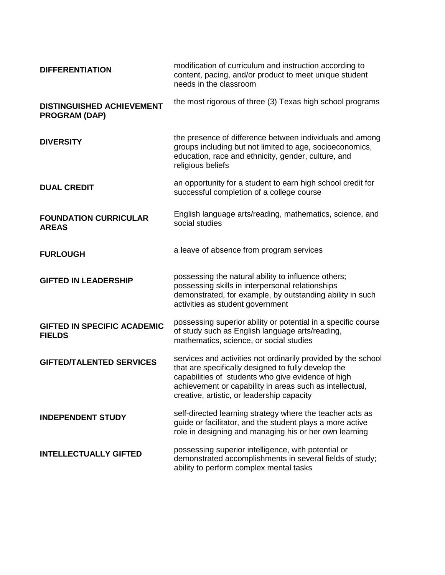| <b>DIFFERENTIATION</b>                                   | modification of curriculum and instruction according to<br>content, pacing, and/or product to meet unique student<br>needs in the classroom                                                                                                                                          |
|----------------------------------------------------------|--------------------------------------------------------------------------------------------------------------------------------------------------------------------------------------------------------------------------------------------------------------------------------------|
| <b>DISTINGUISHED ACHIEVEMENT</b><br><b>PROGRAM (DAP)</b> | the most rigorous of three (3) Texas high school programs                                                                                                                                                                                                                            |
| <b>DIVERSITY</b>                                         | the presence of difference between individuals and among<br>groups including but not limited to age, socioeconomics,<br>education, race and ethnicity, gender, culture, and<br>religious beliefs                                                                                     |
| <b>DUAL CREDIT</b>                                       | an opportunity for a student to earn high school credit for<br>successful completion of a college course                                                                                                                                                                             |
| <b>FOUNDATION CURRICULAR</b><br><b>AREAS</b>             | English language arts/reading, mathematics, science, and<br>social studies                                                                                                                                                                                                           |
| <b>FURLOUGH</b>                                          | a leave of absence from program services                                                                                                                                                                                                                                             |
| <b>GIFTED IN LEADERSHIP</b>                              | possessing the natural ability to influence others;<br>possessing skills in interpersonal relationships<br>demonstrated, for example, by outstanding ability in such<br>activities as student government                                                                             |
| <b>GIFTED IN SPECIFIC ACADEMIC</b><br><b>FIELDS</b>      | possessing superior ability or potential in a specific course<br>of study such as English language arts/reading,<br>mathematics, science, or social studies                                                                                                                          |
| <b>GIFTED/TALENTED SERVICES</b>                          | services and activities not ordinarily provided by the school<br>that are specifically designed to fully develop the<br>capabilities of students who give evidence of high<br>achievement or capability in areas such as intellectual,<br>creative, artistic, or leadership capacity |
| <b>INDEPENDENT STUDY</b>                                 | self-directed learning strategy where the teacher acts as<br>guide or facilitator, and the student plays a more active<br>role in designing and managing his or her own learning                                                                                                     |
| <b>INTELLECTUALLY GIFTED</b>                             | possessing superior intelligence, with potential or<br>demonstrated accomplishments in several fields of study;<br>ability to perform complex mental tasks                                                                                                                           |
|                                                          |                                                                                                                                                                                                                                                                                      |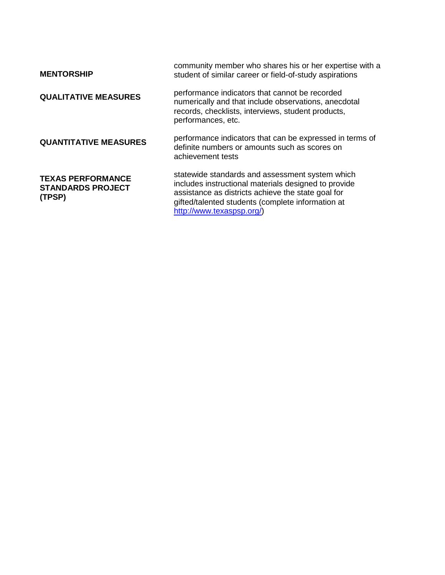| <b>MENTORSHIP</b>                                              | community member who shares his or her expertise with a<br>student of similar career or field-of-study aspirations                                                                                                                              |
|----------------------------------------------------------------|-------------------------------------------------------------------------------------------------------------------------------------------------------------------------------------------------------------------------------------------------|
| <b>QUALITATIVE MEASURES</b>                                    | performance indicators that cannot be recorded<br>numerically and that include observations, anecdotal<br>records, checklists, interviews, student products,<br>performances, etc.                                                              |
| <b>QUANTITATIVE MEASURES</b>                                   | performance indicators that can be expressed in terms of<br>definite numbers or amounts such as scores on<br>achievement tests                                                                                                                  |
| <b>TEXAS PERFORMANCE</b><br><b>STANDARDS PROJECT</b><br>(TPSP) | statewide standards and assessment system which<br>includes instructional materials designed to provide<br>assistance as districts achieve the state goal for<br>gifted/talented students (complete information at<br>http://www.texaspsp.org/) |